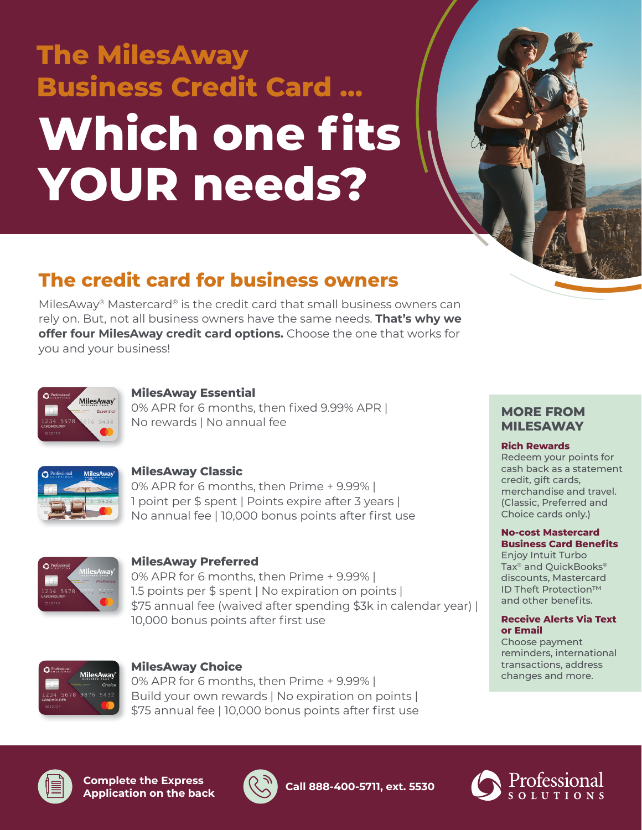# **The MilesAway Business Credit Card … Which one fits YOUR needs?**

# **The credit card for business owners**

MilesAway® Mastercard® is the credit card that small business owners can rely on. But, not all business owners have the same needs. **That's why we offer four MilesAway credit card options.** Choose the one that works for you and your business!



#### **MilesAway Essential**

0% APR for 6 months, then fixed 9.99% APR | No rewards | No annual fee



#### **MilesAway Classic**

0% APR for 6 months, then Prime + 9.99% | 1 point per \$ spent | Points expire after 3 years | No annual fee | 10,000 bonus points after first use



### **MilesAway Preferred**

0% APR for 6 months, then Prime + 9.99% | 1.5 points per \$ spent | No expiration on points | \$75 annual fee (waived after spending \$3k in calendar year) | 10,000 bonus points after first use



#### **MilesAway Choice**

0% APR for 6 months, then Prime + 9.99% | Build your own rewards | No expiration on points | \$75 annual fee | 10,000 bonus points after first use

#### **MORE FROM MILESAWAY**

#### **Rich Rewards**

Redeem your points for cash back as a statement credit, gift cards, merchandise and travel. (Classic, Preferred and Choice cards only.)

#### **No-cost Mastercard Business Card Benefits**

Enjoy Intuit Turbo Tax® and QuickBooks® discounts, Mastercard ID Theft Protection™ and other benefits.

#### **Receive Alerts Via Text or Email**

Choose payment reminders, international transactions, address changes and more.